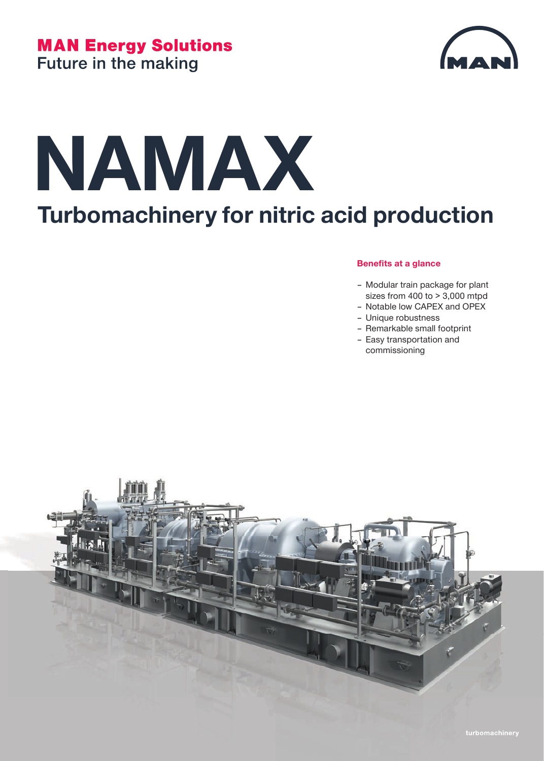

# **NAMAX Turbomachinery for nitric acid production**

#### **Benefits at a glance**

- Modular train package for plant sizes from 400 to > 3,000 mtpd
- Notable low CAPEX and OPEX
- Unique robustness
- Remarkable small footprint
- Easy transportation and commissioning

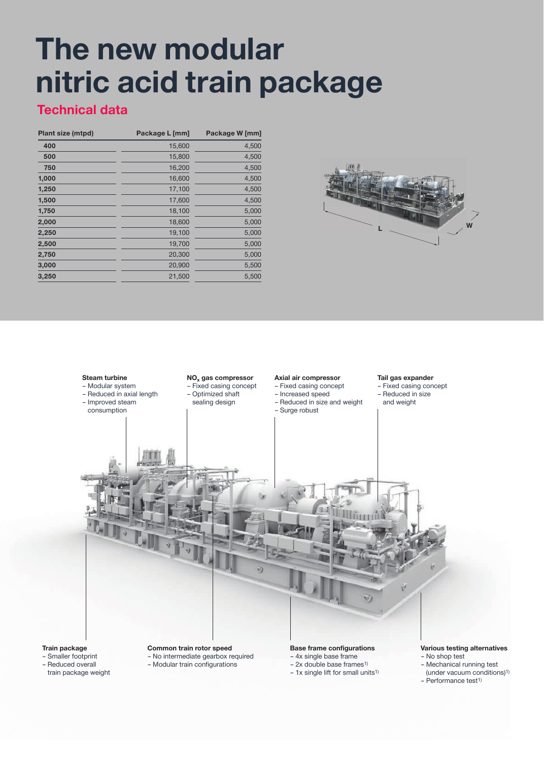### **The new modular nitric acid train package**

### **Technical data**

| Plant size (mtpd) | Package L [mm] | Package W [mm] |
|-------------------|----------------|----------------|
| 400               | 15,600         | 4,500          |
| 500               | 15,800         | 4,500          |
| 750               | 16,200         | 4,500          |
| 1,000             | 16,600         | 4,500          |
| 1,250             | 17,100         | 4,500          |
| 1,500             | 17,600         | 4,500          |
| 1,750             | 18,100         | 5,000          |
| 2,000             | 18,600         | 5,000          |
| 2,250             | 19,100         | 5,000          |
| 2,500             | 19,700         | 5,000          |
| 2,750             | 20,300         | 5,000          |
| 3,000             | 20,900         | 5,500          |
| 3,250             | 21,500         | 5,500          |





- (under vacuum conditions)1)
- Performance test1)
- $-1x$  single lift for small units<sup>1)</sup>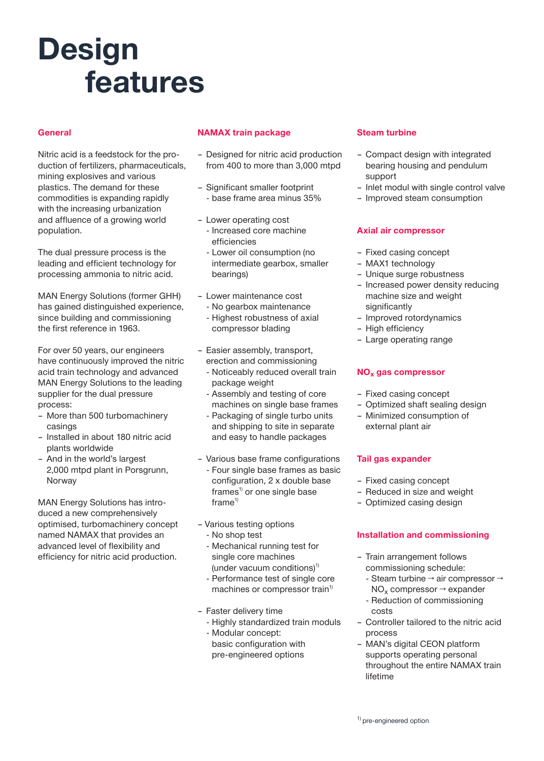## **Design features**

#### **General**

Nitric acid is a feedstock for the production of fertilizers, pharmaceuticals, mining explosives and various plastics. The demand for these commodities is expanding rapidly with the increasing urbanization and affluence of a growing world population.

The dual pressure process is the leading and efficient technology for processing ammonia to nitric acid.

MAN Energy Solutions (former GHH) has gained distinguished experience, since building and commissioning the first reference in 1963.

For over 50 years, our engineers have continuously improved the nitric acid train technology and advanced MAN Energy Solutions to the leading supplier for the dual pressure process:

- More than 500 turbomachinery casings
- Installed in about 180 nitric acid plants worldwide
- And in the world's largest 2,000 mtpd plant in Porsgrunn, Norway

MAN Energy Solutions has introduced a new comprehensively optimised, turbomachinery concept named NAMAX that provides an advanced level of flexibility and efficiency for nitric acid production.

#### **NAMAX train package**

- Designed for nitric acid production from 400 to more than 3,000 mtpd
- Significant smaller footprint - base frame area minus 35%
- Lower operating cost - Increased core machine efficiencies
	- Lower oil consumption (no intermediate gearbox, smaller bearings)
- Lower maintenance cost
	- No gearbox maintenance - Highest robustness of axial compressor blading
- Easier assembly, transport,
- erection and commissioning
- Noticeably reduced overall train package weight
- Assembly and testing of core machines on single base frames
- Packaging of single turbo units and shipping to site in separate and easy to handle packages
- Various base frame configurations
- Four single base frames as basic configuration, 2 x double base  $frames<sup>1</sup>$  or one single base  $frame<sup>1</sup>$
- Various testing options
	- No shop test
	- Mechanical running test for single core machines(under vacuum conditions) $1$
	- Performance test of single core machines or compressor train<sup>1)</sup>
- Faster delivery time
	- Highly standardized train moduls
	- Modular concept: basic configuration with pre-engineered options

#### **Steam turbine**

- Compact design with integrated bearing housing and pendulum support
- Inlet modul with single control valve
- Improved steam consumption

#### **Axial air compressor**

- Fixed casing concept
- MAX1 technology
- Unique surge robustness
- Increased power density reducing machine size and weight significantly
- Improved rotordynamics
- High efficiency
- Large operating range

#### **NOx gas compressor**

- Fixed casing concept
- Optimized shaft sealing design
- Minimized consumption of external plant air

#### **Tail gas expander**

- Fixed casing concept
- Reduced in size and weight
- Optimized casing design

#### **Installation and commissioning**

- Train arrangement follows commissioning schedule:
	- Steam turbine → air compressor →  $NO<sub>x</sub>$  compressor  $\rightarrow$  expander
	- Reduction of commissioning costs
- Controller tailored to the nitric acid process
- MAN's digital CEON platform supports operating personal throughout the entire NAMAX train lifetime